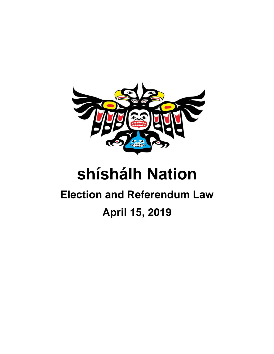

# **shíshálh Nation**

## **Election and Referendum Law April 15, 2019**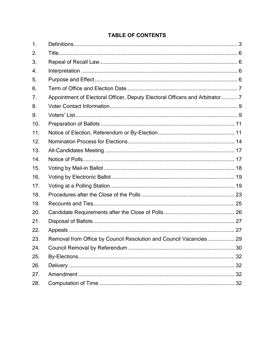### **TABLE OF CONTENTS**

| 1.  |                                                                              |  |
|-----|------------------------------------------------------------------------------|--|
| 2.  |                                                                              |  |
| 3.  |                                                                              |  |
| 4.  |                                                                              |  |
| 5.  |                                                                              |  |
| 6.  |                                                                              |  |
| 7.  | Appointment of Electoral Officer, Deputy Electoral Officers and Arbitrator 7 |  |
| 8.  |                                                                              |  |
| 9.  |                                                                              |  |
| 10. |                                                                              |  |
| 11. |                                                                              |  |
| 12. |                                                                              |  |
| 13. |                                                                              |  |
| 14. |                                                                              |  |
| 15. |                                                                              |  |
| 16. |                                                                              |  |
| 17. |                                                                              |  |
| 18. |                                                                              |  |
| 19. |                                                                              |  |
| 20. |                                                                              |  |
| 21. |                                                                              |  |
| 22. |                                                                              |  |
| 23. | Removal from Office by Council Resolution and Council Vacancies 29           |  |
| 24. |                                                                              |  |
| 25. |                                                                              |  |
| 26. |                                                                              |  |
| 27. |                                                                              |  |
| 28. |                                                                              |  |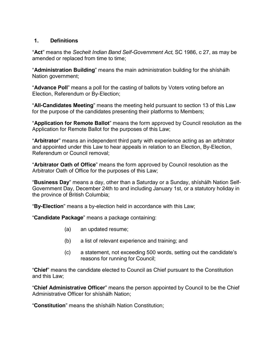#### <span id="page-2-0"></span>**1. Definitions**

"**Act**" means the *Sechelt Indian Band Self-Government Act*, SC 1986, c 27, as may be amended or replaced from time to time;

"**Administration Building**" means the main administration building for the shíshálh Nation government;

"**Advance Poll**" means a poll for the casting of ballots by Voters voting before an Election, Referendum or By-Election;

"**All-Candidates Meeting**" means the meeting held pursuant to section [13](#page-16-0) of this Law for the purpose of the candidates presenting their platforms to Members;

"**Application for Remote Ballot**" means the form approved by Council resolution as the Application for Remote Ballot for the purposes of this Law;

"**Arbitrator**" means an independent third party with experience acting as an arbitrator and appointed under this Law to hear appeals in relation to an Election, By-Election, Referendum or Council removal;

"**Arbitrator Oath of Office**" means the form approved by Council resolution as the Arbitrator Oath of Office for the purposes of this Law;

"**Business Day**" means a day, other than a Saturday or a Sunday, shíshálh Nation Self-Government Day, December 24th to and including January 1st, or a statutory holiday in the province of British Columbia;

"**By-Election**" means a by-election held in accordance with this Law;

"**Candidate Package**" means a package containing:

- (a) an updated resume;
- (b) a list of relevant experience and training; and
- (c) a statement, not exceeding 500 words, setting out the candidate's reasons for running for Council;

"**Chief**" means the candidate elected to Council as Chief pursuant to the Constitution and this Law;

"**Chief Administrative Officer**" means the person appointed by Council to be the Chief Administrative Officer for shíshálh Nation;

"**Constitution**" means the shíshálh Nation Constitution;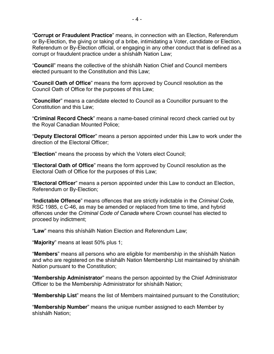"**Corrupt or Fraudulent Practice**" means, in connection with an Election, Referendum or By-Election, the giving or taking of a bribe, intimidating a Voter, candidate or Election, Referendum or By-Election official, or engaging in any other conduct that is defined as a corrupt or fraudulent practice under a shíshálh Nation Law;

"**Council**" means the collective of the shíshálh Nation Chief and Council members elected pursuant to the Constitution and this Law;

"**Council Oath of Office**" means the form approved by Council resolution as the Council Oath of Office for the purposes of this Law;

"**Councillor**" means a candidate elected to Council as a Councillor pursuant to the Constitution and this Law;

"**Criminal Record Check**" means a name-based criminal record check carried out by the Royal Canadian Mounted Police;

"**Deputy Electoral Officer**" means a person appointed under this Law to work under the direction of the Electoral Officer;

"**Election**" means the process by which the Voters elect Council;

"**Electoral Oath of Office**" means the form approved by Council resolution as the Electoral Oath of Office for the purposes of this Law;

"**Electoral Officer**" means a person appointed under this Law to conduct an Election, Referendum or By-Election;

"**Indictable Offence**" means offences that are strictly indictable in the *Criminal Code*, RSC 1985, c C-46, as may be amended or replaced from time to time, and hybrid offences under the *Criminal Code of Canada* where Crown counsel has elected to proceed by indictment;

"**Law**" means this shíshálh Nation Election and Referendum Law;

"**Majority**" means at least 50% plus 1;

"**Members**" means all persons who are eligible for membership in the shíshálh Nation and who are registered on the shíshálh Nation Membership List maintained by shíshálh Nation pursuant to the Constitution;

"**Membership Administrator**" means the person appointed by the Chief Administrator Officer to be the Membership Administrator for shíshálh Nation;

"**Membership List**" means the list of Members maintained pursuant to the Constitution;

"**Membership Number**" means the unique number assigned to each Member by shíshálh Nation;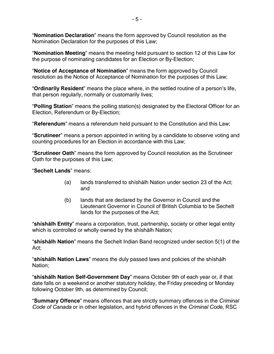"**Nomination Declaration**" means the form approved by Council resolution as the Nomination Declaration for the purposes of this Law;

"**Nomination Meeting**" means the meeting held pursuant to section [12](#page-13-0) of this Law for the purpose of nominating candidates for an Election or By-Election;

"**Notice of Acceptance of Nomination**" means the form approved by Council resolution as the Notice of Acceptance of Nomination for the purposes of this Law;

"**Ordinarily Resident**" means the place where, in the settled routine of a person's life, that person regularly, normally or customarily lives;

"**Polling Station**" means the polling station(s) designated by the Electoral Officer for an Election, Referendum or By-Election;

"**Referendum**" means a referendum held pursuant to the Constitution and this Law;

"**Scrutineer**" means a person appointed in writing by a candidate to observe voting and counting procedures for an Election in accordance with this Law;

"**Scrutineer Oath**" means the form approved by Council resolution as the Scrutineer Oath for the purposes of this Law;

"**Sechelt Lands**" means:

- (a) lands transferred to shíshálh Nation under section 23 of the Act; and
- (b) lands that are declared by the Governor in Council and the Lieutenant Governor in Council of British Columbia to be Sechelt lands for the purposes of the Act;

"**shíshálh Entity**" means a corporation, trust, partnership, society or other legal entity which is controlled or wholly owned by the shíshálh Nation;

"**shíshálh Nation**" means the Sechelt Indian Band recognized under section 5(1) of the Act;

"**shíshálh Nation Laws**" means the duly passed laws and policies of the shíshálh Nation;

"**shíshálh Nation Self-Government Day**" means October 9th of each year or, if that date falls on a weekend or another statutory holiday, the Friday preceding or Monday following October 9th, as determined by Council;

"**Summary Offence**" means offences that are strictly summary offences in the *Criminal Code of Canada* or in other legislation, and hybrid offences in the *Criminal Code*, RSC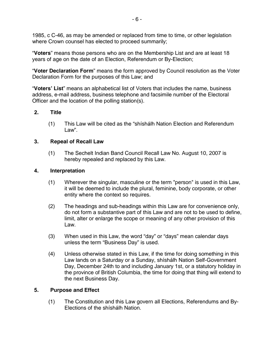1985, c C-46, as may be amended or replaced from time to time, or other legislation where Crown counsel has elected to proceed summarily;

"**Voters**" means those persons who are on the Membership List and are at least 18 years of age on the date of an Election, Referendum or By-Election;

"**Voter Declaration Form**" means the form approved by Council resolution as the Voter Declaration Form for the purposes of this Law; and

"**Voters' List**" means an alphabetical list of Voters that includes the name, business address, e-mail address, business telephone and facsimile number of the Electoral Officer and the location of the polling station(s).

#### <span id="page-5-0"></span>**2. Title**

(1) This Law will be cited as the "shíshálh Nation Election and Referendum Law".

#### <span id="page-5-1"></span>**3. Repeal of Recall Law**

(1) The Sechelt Indian Band Council Recall Law No. August 10, 2007 is hereby repealed and replaced by this Law.

#### <span id="page-5-2"></span>**4. Interpretation**

- (1) Wherever the singular, masculine or the term "person" is used in this Law, it will be deemed to include the plural, feminine, body corporate, or other entity where the context so requires.
- (2) The headings and sub-headings within this Law are for convenience only, do not form a substantive part of this Law and are not to be used to define, limit, alter or enlarge the scope or meaning of any other provision of this Law.
- (3) When used in this Law, the word "day" or "days" mean calendar days unless the term "Business Day" is used.
- (4) Unless otherwise stated in this Law, if the time for doing something in this Law lands on a Saturday or a Sunday, shíshálh Nation Self-Government Day, December 24th to and including January 1st, or a statutory holiday in the province of British Columbia, the time for doing that thing will extend to the next Business Day.

#### <span id="page-5-3"></span>**5. Purpose and Effect**

(1) The Constitution and this Law govern all Elections, Referendums and By-Elections of the shíshálh Nation.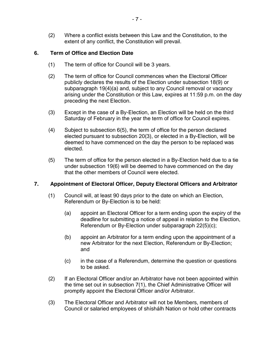(2) Where a conflict exists between this Law and the Constitution, to the extent of any conflict, the Constitution will prevail.

#### <span id="page-6-0"></span>**6. Term of Office and Election Date**

- (1) The term of office for Council will be 3 years.
- (2) The term of office for Council commences when the Electoral Officer publicly declares the results of the Election under subsection [18\(9\)](#page-22-0) or subparagraph [19\(4\)\(a\)](#page-24-0) and, subject to any Council removal or vacancy arising under the Constitution or this Law, expires at 11:59 p.m. on the day preceding the next Election.
- (3) Except in the case of a By-Election, an Election will be held on the third Saturday of February in the year the term of office for Council expires.
- (4) Subject to subsection [6\(5\),](#page-6-0) the term of office for the person declared elected pursuant to subsection [20\(3\),](#page-25-0) or elected in a By-Election, will be deemed to have commenced on the day the person to be replaced was elected.
- (5) The term of office for the person elected in a By-Election held due to a tie under subsection [19\(6\)](#page-24-0) will be deemed to have commenced on the day that the other members of Council were elected.

#### <span id="page-6-1"></span>**7. Appointment of Electoral Officer, Deputy Electoral Officers and Arbitrator**

- (1) Council will, at least 90 days prior to the date on which an Election, Referendum or By-Election is to be held:
	- (a) appoint an Electoral Officer for a term ending upon the expiry of the deadline for submitting a notice of appeal in relation to the Election, Referendum or By-Election under subparagraph [22\(5\)\(c\);](#page-26-1)
	- (b) appoint an Arbitrator for a term ending upon the appointment of a new Arbitrator for the next Election, Referendum or By-Election; and
	- (c) in the case of a Referendum, determine the question or questions to be asked.
- (2) If an Electoral Officer and/or an Arbitrator have not been appointed within the time set out in subsection [7\(1\),](#page-6-1) the Chief Administrative Officer will promptly appoint the Electoral Officer and/or Arbitrator.
- (3) The Electoral Officer and Arbitrator will not be Members, members of Council or salaried employees of shíshálh Nation or hold other contracts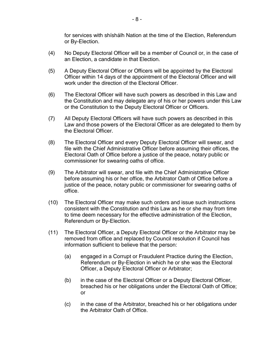for services with shíshálh Nation at the time of the Election, Referendum or By-Election.

- (4) No Deputy Electoral Officer will be a member of Council or, in the case of an Election, a candidate in that Election.
- (5) A Deputy Electoral Officer or Officers will be appointed by the Electoral Officer within 14 days of the appointment of the Electoral Officer and will work under the direction of the Electoral Officer.
- (6) The Electoral Officer will have such powers as described in this Law and the Constitution and may delegate any of his or her powers under this Law or the Constitution to the Deputy Electoral Officer or Officers.
- (7) All Deputy Electoral Officers will have such powers as described in this Law and those powers of the Electoral Officer as are delegated to them by the Electoral Officer.
- (8) The Electoral Officer and every Deputy Electoral Officer will swear, and file with the Chief Administrative Officer before assuming their offices, the Electoral Oath of Office before a justice of the peace, notary public or commissioner for swearing oaths of office.
- (9) The Arbitrator will swear, and file with the Chief Administrative Officer before assuming his or her office, the Arbitrator Oath of Office before a justice of the peace, notary public or commissioner for swearing oaths of office.
- (10) The Electoral Officer may make such orders and issue such instructions consistent with the Constitution and this Law as he or she may from time to time deem necessary for the effective administration of the Election, Referendum or By-Election.
- (11) The Electoral Officer, a Deputy Electoral Officer or the Arbitrator may be removed from office and replaced by Council resolution if Council has information sufficient to believe that the person:
	- (a) engaged in a Corrupt or Fraudulent Practice during the Election, Referendum or By-Election in which he or she was the Electoral Officer, a Deputy Electoral Officer or Arbitrator;
	- (b) in the case of the Electoral Officer or a Deputy Electoral Officer, breached his or her obligations under the Electoral Oath of Office; or
	- (c) in the case of the Arbitrator, breached his or her obligations under the Arbitrator Oath of Office.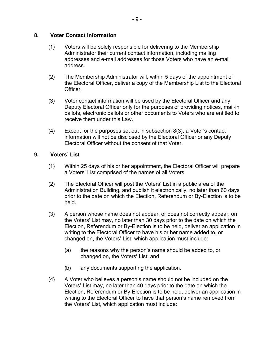#### <span id="page-8-0"></span>**8. Voter Contact Information**

- (1) Voters will be solely responsible for delivering to the Membership Administrator their current contact information, including mailing addresses and e-mail addresses for those Voters who have an e-mail address.
- (2) The Membership Administrator will, within 5 days of the appointment of the Electoral Officer, deliver a copy of the Membership List to the Electoral Officer.
- (3) Voter contact information will be used by the Electoral Officer and any Deputy Electoral Officer only for the purposes of providing notices, mail-in ballots, electronic ballots or other documents to Voters who are entitled to receive them under this Law.
- (4) Except for the purposes set out in subsection [8\(3\),](#page-8-0) a Voter's contact information will not be disclosed by the Electoral Officer or any Deputy Electoral Officer without the consent of that Voter.

#### <span id="page-8-1"></span>**9. Voters' List**

- (1) Within 25 days of his or her appointment, the Electoral Officer will prepare a Voters' List comprised of the names of all Voters.
- (2) The Electoral Officer will post the Voters' List in a public area of the Administration Building, and publish it electronically, no later than 60 days prior to the date on which the Election, Referendum or By-Election is to be held.
- (3) A person whose name does not appear, or does not correctly appear, on the Voters' List may, no later than 30 days prior to the date on which the Election, Referendum or By-Election is to be held, deliver an application in writing to the Electoral Officer to have his or her name added to, or changed on, the Voters' List, which application must include:
	- (a) the reasons why the person's name should be added to, or changed on, the Voters' List; and
	- (b) any documents supporting the application.
- (4) A Voter who believes a person's name should not be included on the Voters' List may, no later than 40 days prior to the date on which the Election, Referendum or By-Election is to be held, deliver an application in writing to the Electoral Officer to have that person's name removed from the Voters' List, which application must include: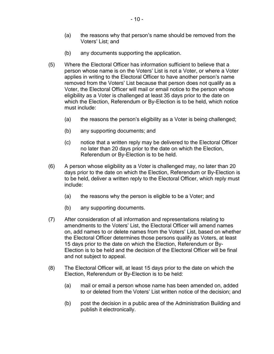- (a) the reasons why that person's name should be removed from the Voters' List; and
- (b) any documents supporting the application.
- (5) Where the Electoral Officer has information sufficient to believe that a person whose name is on the Voters' List is not a Voter, or where a Voter applies in writing to the Electoral Officer to have another person's name removed from the Voters' List because that person does not qualify as a Voter, the Electoral Officer will mail or email notice to the person whose eligibility as a Voter is challenged at least 35 days prior to the date on which the Election, Referendum or By-Election is to be held, which notice must include:
	- (a) the reasons the person's eligibility as a Voter is being challenged;
	- (b) any supporting documents; and
	- (c) notice that a written reply may be delivered to the Electoral Officer no later than 20 days prior to the date on which the Election, Referendum or By-Election is to be held.
- (6) A person whose eligibility as a Voter is challenged may, no later than 20 days prior to the date on which the Election, Referendum or By-Election is to be held, deliver a written reply to the Electoral Officer, which reply must include:
	- (a) the reasons why the person is eligible to be a Voter; and
	- (b) any supporting documents.
- (7) After consideration of all information and representations relating to amendments to the Voters' List, the Electoral Officer will amend names on, add names to or delete names from the Voters' List, based on whether the Electoral Officer determines those persons qualify as Voters, at least 15 days prior to the date on which the Election, Referendum or By-Election is to be held and the decision of the Electoral Officer will be final and not subject to appeal.
- (8) The Electoral Officer will, at least 15 days prior to the date on which the Election, Referendum or By-Election is to be held:
	- (a) mail or email a person whose name has been amended on, added to or deleted from the Voters' List written notice of the decision; and
	- (b) post the decision in a public area of the Administration Building and publish it electronically.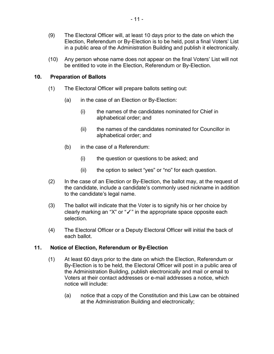- (9) The Electoral Officer will, at least 10 days prior to the date on which the Election, Referendum or By-Election is to be held, post a final Voters' List in a public area of the Administration Building and publish it electronically.
- (10) Any person whose name does not appear on the final Voters' List will not be entitled to vote in the Election, Referendum or By-Election.

#### <span id="page-10-0"></span>**10. Preparation of Ballots**

- (1) The Electoral Officer will prepare ballots setting out:
	- (a) in the case of an Election or By-Election:
		- (i) the names of the candidates nominated for Chief in alphabetical order; and
		- (ii) the names of the candidates nominated for Councillor in alphabetical order; and
	- (b) in the case of a Referendum:
		- (i) the question or questions to be asked; and
		- (ii) the option to select "yes" or "no" for each question.
- (2) In the case of an Election or By-Election, the ballot may, at the request of the candidate, include a candidate's commonly used nickname in addition to the candidate's legal name.
- (3) The ballot will indicate that the Voter is to signify his or her choice by clearly marking an "X" or "✓" in the appropriate space opposite each selection.
- (4) The Electoral Officer or a Deputy Electoral Officer will initial the back of each ballot.

#### <span id="page-10-1"></span>**11. Notice of Election, Referendum or By-Election**

- (1) At least 60 days prior to the date on which the Election, Referendum or By-Election is to be held, the Electoral Officer will post in a public area of the Administration Building, publish electronically and mail or email to Voters at their contact addresses or e-mail addresses a notice, which notice will include:
	- (a) notice that a copy of the Constitution and this Law can be obtained at the Administration Building and electronically;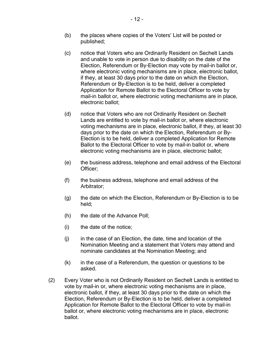- (c) notice that Voters who are Ordinarily Resident on Sechelt Lands and unable to vote in person due to disability on the date of the Election, Referendum or By-Election may vote by mail-in ballot or, where electronic voting mechanisms are in place, electronic ballot, if they, at least 30 days prior to the date on which the Election, Referendum or By-Election is to be held, deliver a completed Application for Remote Ballot to the Electoral Officer to vote by mail-in ballot or, where electronic voting mechanisms are in place, electronic ballot;
- (d) notice that Voters who are not Ordinarily Resident on Sechelt Lands are entitled to vote by mail-in ballot or, where electronic voting mechanisms are in place, electronic ballot, if they, at least 30 days prior to the date on which the Election, Referendum or By-Election is to be held, deliver a completed Application for Remote Ballot to the Electoral Officer to vote by mail-in ballot or, where electronic voting mechanisms are in place, electronic ballot;
- (e) the business address, telephone and email address of the Electoral Officer;
- (f) the business address, telephone and email address of the Arbitrator;
- (g) the date on which the Election, Referendum or By-Election is to be held;
- (h) the date of the Advance Poll;
- (i) the date of the notice;
- $(i)$  in the case of an Election, the date, time and location of the Nomination Meeting and a statement that Voters may attend and nominate candidates at the Nomination Meeting; and
- (k) in the case of a Referendum, the question or questions to be asked.
- (2) Every Voter who is not Ordinarily Resident on Sechelt Lands is entitled to vote by mail-in or, where electronic voting mechanisms are in place, electronic ballot, if they, at least 30 days prior to the date on which the Election, Referendum or By-Election is to be held, deliver a completed Application for Remote Ballot to the Electoral Officer to vote by mail-in ballot or, where electronic voting mechanisms are in place, electronic ballot.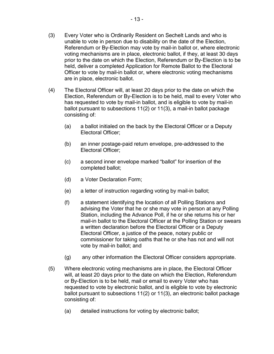- (3) Every Voter who is Ordinarily Resident on Sechelt Lands and who is unable to vote in person due to disability on the date of the Election, Referendum or By-Election may vote by mail-in ballot or, where electronic voting mechanisms are in place, electronic ballot, if they, at least 30 days prior to the date on which the Election, Referendum or By-Election is to be held, deliver a completed Application for Remote Ballot to the Electoral Officer to vote by mail-in ballot or, where electronic voting mechanisms are in place, electronic ballot.
- (4) The Electoral Officer will, at least 20 days prior to the date on which the Election, Referendum or By-Election is to be held, mail to every Voter who has requested to vote by mail-in ballot, and is eligible to vote by mail-in ballot pursuant to subsections [11\(2\)](#page-10-1) or [11\(3\),](#page-10-1) a mail-in ballot package consisting of:
	- (a) a ballot initialed on the back by the Electoral Officer or a Deputy Electoral Officer;
	- (b) an inner postage-paid return envelope, pre-addressed to the Electoral Officer;
	- (c) a second inner envelope marked "ballot" for insertion of the completed ballot;
	- (d) a Voter Declaration Form;
	- (e) a letter of instruction regarding voting by mail-in ballot;
	- (f) a statement identifying the location of all Polling Stations and advising the Voter that he or she may vote in person at any Polling Station, including the Advance Poll, if he or she returns his or her mail-in ballot to the Electoral Officer at the Polling Station or swears a written declaration before the Electoral Officer or a Deputy Electoral Officer, a justice of the peace, notary public or commissioner for taking oaths that he or she has not and will not vote by mail-in ballot; and
	- (g) any other information the Electoral Officer considers appropriate.
- (5) Where electronic voting mechanisms are in place, the Electoral Officer will, at least 20 days prior to the date on which the Election, Referendum or By-Election is to be held, mail or email to every Voter who has requested to vote by electronic ballot, and is eligible to vote by electronic ballot pursuant to subsections [11\(2\)](#page-10-1) or [11\(3\),](#page-10-1) an electronic ballot package consisting of:
	- (a) detailed instructions for voting by electronic ballot;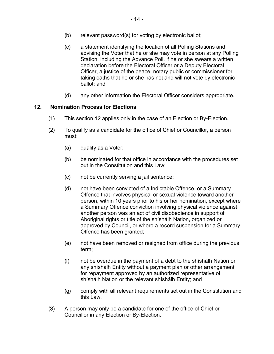- (b) relevant password(s) for voting by electronic ballot;
- (c) a statement identifying the location of all Polling Stations and advising the Voter that he or she may vote in person at any Polling Station, including the Advance Poll, if he or she swears a written declaration before the Electoral Officer or a Deputy Electoral Officer, a justice of the peace, notary public or commissioner for taking oaths that he or she has not and will not vote by electronic ballot; and
- (d) any other information the Electoral Officer considers appropriate.

#### <span id="page-13-0"></span>**12. Nomination Process for Elections**

- (1) This section [12](#page-13-0) applies only in the case of an Election or By-Election.
- (2) To qualify as a candidate for the office of Chief or Councillor, a person must:
	- (a) qualify as a Voter;
	- (b) be nominated for that office in accordance with the procedures set out in the Constitution and this Law;
	- (c) not be currently serving a jail sentence;
	- (d) not have been convicted of a Indictable Offence, or a Summary Offence that involves physical or sexual violence toward another person, within 10 years prior to his or her nomination, except where a Summary Offence conviction involving physical violence against another person was an act of civil disobedience in support of Aboriginal rights or title of the shíshálh Nation, organized or approved by Council, or where a record suspension for a Summary Offence has been granted;
	- (e) not have been removed or resigned from office during the previous term;
	- (f) not be overdue in the payment of a debt to the shíshálh Nation or any shíshálh Entity without a payment plan or other arrangement for repayment approved by an authorized representative of shíshálh Nation or the relevant shíshálh Entity; and
	- (g) comply with all relevant requirements set out in the Constitution and this Law.
- (3) A person may only be a candidate for one of the office of Chief or Councillor in any Election or By-Election.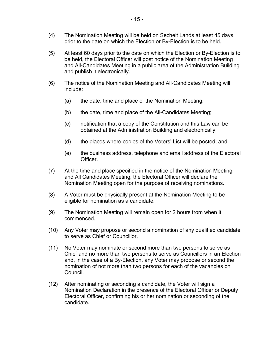- (4) The Nomination Meeting will be held on Sechelt Lands at least 45 days prior to the date on which the Election or By-Election is to be held.
- (5) At least 60 days prior to the date on which the Election or By-Election is to be held, the Electoral Officer will post notice of the Nomination Meeting and All-Candidates Meeting in a public area of the Administration Building and publish it electronically.
- (6) The notice of the Nomination Meeting and All-Candidates Meeting will include:
	- (a) the date, time and place of the Nomination Meeting;
	- (b) the date, time and place of the All-Candidates Meeting;
	- (c) notification that a copy of the Constitution and this Law can be obtained at the Administration Building and electronically;
	- (d) the places where copies of the Voters' List will be posted; and
	- (e) the business address, telephone and email address of the Electoral Officer.
- (7) At the time and place specified in the notice of the Nomination Meeting and All Candidates Meeting, the Electoral Officer will declare the Nomination Meeting open for the purpose of receiving nominations.
- (8) A Voter must be physically present at the Nomination Meeting to be eligible for nomination as a candidate.
- (9) The Nomination Meeting will remain open for 2 hours from when it commenced.
- (10) Any Voter may propose or second a nomination of any qualified candidate to serve as Chief or Councillor.
- (11) No Voter may nominate or second more than two persons to serve as Chief and no more than two persons to serve as Councillors in an Election and, in the case of a By-Election, any Voter may propose or second the nomination of not more than two persons for each of the vacancies on Council.
- (12) After nominating or seconding a candidate, the Voter will sign a Nomination Declaration in the presence of the Electoral Officer or Deputy Electoral Officer, confirming his or her nomination or seconding of the candidate.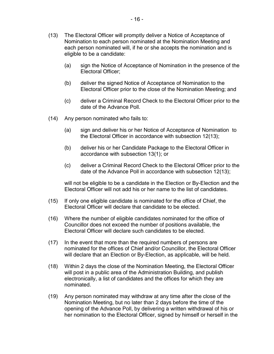- (13) The Electoral Officer will promptly deliver a Notice of Acceptance of Nomination to each person nominated at the Nomination Meeting and each person nominated will, if he or she accepts the nomination and is eligible to be a candidate:
	- (a) sign the Notice of Acceptance of Nomination in the presence of the Electoral Officer;
	- (b) deliver the signed Notice of Acceptance of Nomination to the Electoral Officer prior to the close of the Nomination Meeting; and
	- (c) deliver a Criminal Record Check to the Electoral Officer prior to the date of the Advance Poll.
- (14) Any person nominated who fails to:
	- (a) sign and deliver his or her Notice of Acceptance of Nomination to the Electoral Officer in accordance with subsection [12\(13\);](#page-13-0)
	- (b) deliver his or her Candidate Package to the Electoral Officer in accordance with subsection [13\(1\);](#page-16-0) or
	- (c) deliver a Criminal Record Check to the Electoral Officer prior to the date of the Advance Poll in accordance with subsection 12(13);

will not be eligible to be a candidate in the Election or By-Election and the Electoral Officer will not add his or her name to the list of candidates.

- (15) If only one eligible candidate is nominated for the office of Chief, the Electoral Officer will declare that candidate to be elected.
- (16) Where the number of eligible candidates nominated for the office of Councillor does not exceed the number of positions available, the Electoral Officer will declare such candidates to be elected.
- (17) In the event that more than the required numbers of persons are nominated for the offices of Chief and/or Councillor, the Electoral Officer will declare that an Election or By-Election, as applicable, will be held.
- (18) Within 2 days the close of the Nomination Meeting, the Electoral Officer will post in a public area of the Administration Building, and publish electronically, a list of candidates and the offices for which they are nominated.
- (19) Any person nominated may withdraw at any time after the close of the Nomination Meeting, but no later than 2 days before the time of the opening of the Advance Poll, by delivering a written withdrawal of his or her nomination to the Electoral Officer, signed by himself or herself in the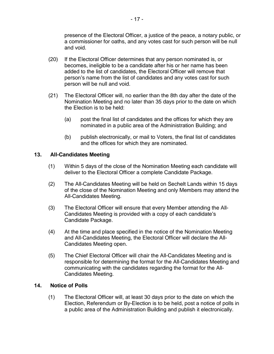presence of the Electoral Officer, a justice of the peace, a notary public, or a commissioner for oaths, and any votes cast for such person will be null and void.

- (20) If the Electoral Officer determines that any person nominated is, or becomes, ineligible to be a candidate after his or her name has been added to the list of candidates, the Electoral Officer will remove that person's name from the list of candidates and any votes cast for such person will be null and void.
- (21) The Electoral Officer will, no earlier than the 8th day after the date of the Nomination Meeting and no later than 35 days prior to the date on which the Election is to be held:
	- (a) post the final list of candidates and the offices for which they are nominated in a public area of the Administration Building; and
	- (b) publish electronically, or mail to Voters, the final list of candidates and the offices for which they are nominated.

#### <span id="page-16-0"></span>**13. All-Candidates Meeting**

- (1) Within 5 days of the close of the Nomination Meeting each candidate will deliver to the Electoral Officer a complete Candidate Package.
- (2) The All-Candidates Meeting will be held on Sechelt Lands within 15 days of the close of the Nomination Meeting and only Members may attend the All-Candidates Meeting.
- (3) The Electoral Officer will ensure that every Member attending the All-Candidates Meeting is provided with a copy of each candidate's Candidate Package.
- (4) At the time and place specified in the notice of the Nomination Meeting and All-Candidates Meeting, the Electoral Officer will declare the All-Candidates Meeting open.
- (5) The Chief Electoral Officer will chair the All-Candidates Meeting and is responsible for determining the format for the All-Candidates Meeting and communicating with the candidates regarding the format for the All-Candidates Meeting.

#### <span id="page-16-1"></span>**14. Notice of Polls**

(1) The Electoral Officer will, at least 30 days prior to the date on which the Election, Referendum or By-Election is to be held, post a notice of polls in a public area of the Administration Building and publish it electronically.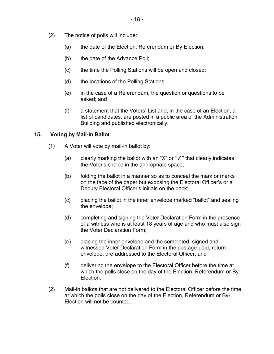- (2) The notice of polls will include:
	- (a) the date of the Election, Referendum or By-Election;
	- (b) the date of the Advance Poll;
	- (c) the time the Polling Stations will be open and closed;
	- (d) the locations of the Polling Stations;
	- (e) in the case of a Referendum, the question or questions to be asked; and
	- (f) a statement that the Voters' List and, in the case of an Election, a list of candidates, are posted in a public area of the Administration Building and published electronically.

#### <span id="page-17-0"></span>**15. Voting by Mail-in Ballot**

- (1) A Voter will vote by mail-in ballot by:
	- (a) clearly marking the ballot with an "X" or "✓" that clearly indicates the Voter's choice in the appropriate space;
	- (b) folding the ballot in a manner so as to conceal the mark or marks on the face of the paper but exposing the Electoral Officer's or a Deputy Electoral Officer's initials on the back;
	- (c) placing the ballot in the inner envelope marked "ballot" and sealing the envelope;
	- (d) completing and signing the Voter Declaration Form in the presence of a witness who is at least 18 years of age and who must also sign the Voter Declaration Form;
	- (e) placing the inner envelope and the completed, signed and witnessed Voter Declaration Form in the postage-paid, return envelope, pre-addressed to the Electoral Officer; and
	- (f) delivering the envelope to the Electoral Officer before the time at which the polls close on the day of the Election, Referendum or By-Election.
- (2) Mail-in ballots that are not delivered to the Electoral Officer before the time at which the polls close on the day of the Election, Referendum or By-Election will not be counted.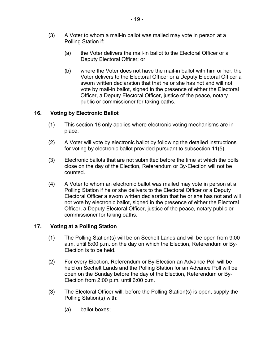- (3) A Voter to whom a mail-in ballot was mailed may vote in person at a Polling Station if:
	- (a) the Voter delivers the mail-in ballot to the Electoral Officer or a Deputy Electoral Officer; or
	- (b) where the Voter does not have the mail-in ballot with him or her, the Voter delivers to the Electoral Officer or a Deputy Electoral Officer a sworn written declaration that that he or she has not and will not vote by mail-in ballot, signed in the presence of either the Electoral Officer, a Deputy Electoral Officer, justice of the peace, notary public or commissioner for taking oaths.

#### <span id="page-18-0"></span>**16. Voting by Electronic Ballot**

- (1) This section [16](#page-18-0) only applies where electronic voting mechanisms are in place.
- (2) A Voter will vote by electronic ballot by following the detailed instructions for voting by electronic ballot provided pursuant to subsection [11\(5\).](#page-10-1)
- (3) Electronic ballots that are not submitted before the time at which the polls close on the day of the Election, Referendum or By-Election will not be counted.
- (4) A Voter to whom an electronic ballot was mailed may vote in person at a Polling Station if he or she delivers to the Electoral Officer or a Deputy Electoral Officer a sworn written declaration that he or she has not and will not vote by electronic ballot, signed in the presence of either the Electoral Officer, a Deputy Electoral Officer, justice of the peace, notary public or commissioner for taking oaths.

#### <span id="page-18-1"></span>**17. Voting at a Polling Station**

- (1) The Polling Station(s) will be on Sechelt Lands and will be open from 9:00 a.m. until 8:00 p.m. on the day on which the Election, Referendum or By-Election is to be held.
- (2) For every Election, Referendum or By-Election an Advance Poll will be held on Sechelt Lands and the Polling Station for an Advance Poll will be open on the Sunday before the day of the Election, Referendum or By-Election from 2:00 p.m. until 6:00 p.m.
- (3) The Electoral Officer will, before the Polling Station(s) is open, supply the Polling Station(s) with:
	- (a) ballot boxes;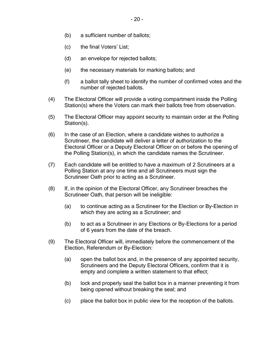- (b) a sufficient number of ballots;
- (c) the final Voters' List;
- (d) an envelope for rejected ballots;
- (e) the necessary materials for marking ballots; and
- (f) a ballot tally sheet to identify the number of confirmed votes and the number of rejected ballots.
- (4) The Electoral Officer will provide a voting compartment inside the Polling Station(s) where the Voters can mark their ballots free from observation.
- (5) The Electoral Officer may appoint security to maintain order at the Polling Station(s).
- (6) In the case of an Election, where a candidate wishes to authorize a Scrutineer, the candidate will deliver a letter of authorization to the Electoral Officer or a Deputy Electoral Officer on or before the opening of the Polling Station(s), in which the candidate names the Scrutineer.
- (7) Each candidate will be entitled to have a maximum of 2 Scrutineers at a Polling Station at any one time and all Scrutineers must sign the Scrutineer Oath prior to acting as a Scrutineer.
- (8) If, in the opinion of the Electoral Officer, any Scrutineer breaches the Scrutineer Oath, that person will be ineligible:
	- (a) to continue acting as a Scrutineer for the Election or By-Election in which they are acting as a Scrutineer; and
	- (b) to act as a Scrutineer in any Elections or By-Elections for a period of 6 years from the date of the breach.
- (9) The Electoral Officer will, immediately before the commencement of the Election, Referendum or By-Election:
	- (a) open the ballot box and, in the presence of any appointed security, Scrutineers and the Deputy Electoral Officers, confirm that it is empty and complete a written statement to that effect;
	- (b) lock and properly seal the ballot box in a manner preventing it from being opened without breaking the seal; and
	- (c) place the ballot box in public view for the reception of the ballots.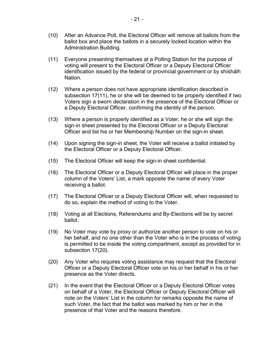- (10) After an Advance Poll, the Electoral Officer will remove all ballots from the ballot box and place the ballots in a securely locked location within the Administration Building.
- (11) Everyone presenting themselves at a Polling Station for the purpose of voting will present to the Electoral Officer or a Deputy Electoral Officer identification issued by the federal or provincial government or by shíshálh Nation.
- (12) Where a person does not have appropriate identification described in subsection [17\(11\),](#page-18-1) he or she will be deemed to be properly identified if two Voters sign a sworn declaration in the presence of the Electoral Officer or a Deputy Electoral Officer, confirming the identity of the person.
- (13) Where a person is properly identified as a Voter, he or she will sign the sign-in sheet presented by the Electoral Officer or a Deputy Electoral Officer and list his or her Membership Number on the sign-in sheet.
- (14) Upon signing the sign-in sheet, the Voter will receive a ballot initialed by the Electoral Officer or a Deputy Electoral Officer.
- (15) The Electoral Officer will keep the sign-in sheet confidential.
- (16) The Electoral Officer or a Deputy Electoral Officer will place in the proper column of the Voters' List, a mark opposite the name of every Voter receiving a ballot.
- (17) The Electoral Officer or a Deputy Electoral Officer will, when requested to do so, explain the method of voting to the Voter.
- (18) Voting at all Elections, Referendums and By-Elections will be by secret ballot.
- (19) No Voter may vote by proxy or authorize another person to vote on his or her behalf, and no one other than the Voter who is in the process of voting is permitted to be inside the voting compartment, except as provided for in subsection [17\(20\).](#page-18-1)
- (20) Any Voter who requires voting assistance may request that the Electoral Officer or a Deputy Electoral Officer vote on his or her behalf in his or her presence as the Voter directs.
- (21) In the event that the Electoral Officer or a Deputy Electoral Officer votes on behalf of a Voter, the Electoral Officer or Deputy Electoral Officer will note on the Voters' List in the column for remarks opposite the name of such Voter, the fact that the ballot was marked by him or her in the presence of that Voter and the reasons therefore.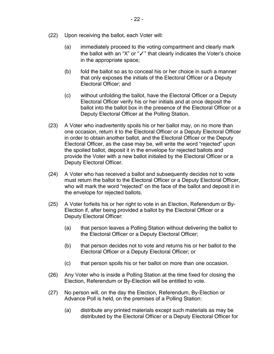- (22) Upon receiving the ballot, each Voter will:
	- (a) immediately proceed to the voting compartment and clearly mark the ballot with an "X" or "✓" that clearly indicates the Voter's choice in the appropriate space;
	- (b) fold the ballot so as to conceal his or her choice in such a manner that only exposes the initials of the Electoral Officer or a Deputy Electoral Officer; and
	- (c) without unfolding the ballot, have the Electoral Officer or a Deputy Electoral Officer verify his or her initials and at once deposit the ballot into the ballot box in the presence of the Electoral Officer or a Deputy Electoral Officer at the Polling Station.
- (23) A Voter who inadvertently spoils his or her ballot may, on no more than one occasion, return it to the Electoral Officer or a Deputy Electoral Officer in order to obtain another ballot, and the Electoral Officer or the Deputy Electoral Officer, as the case may be, will write the word "rejected" upon the spoiled ballot, deposit it in the envelope for rejected ballots and provide the Voter with a new ballot initialed by the Electoral Officer or a Deputy Electoral Officer.
- (24) A Voter who has received a ballot and subsequently decides not to vote must return the ballot to the Electoral Officer or a Deputy Electoral Officer, who will mark the word "rejected" on the face of the ballot and deposit it in the envelope for rejected ballots.
- (25) A Voter forfeits his or her right to vote in an Election, Referendum or By-Election if, after being provided a ballot by the Electoral Officer or a Deputy Electoral Officer:
	- (a) that person leaves a Polling Station without delivering the ballot to the Electoral Officer or a Deputy Electoral Officer;
	- (b) that person decides not to vote and returns his or her ballot to the Electoral Officer or a Deputy Electoral Officer; or
	- (c) that person spoils his or her ballot on more than one occasion.
- (26) Any Voter who is inside a Polling Station at the time fixed for closing the Election, Referendum or By-Election will be entitled to vote.
- (27) No person will, on the day the Election, Referendum, By-Election or Advance Poll is held, on the premises of a Polling Station:
	- (a) distribute any printed materials except such materials as may be distributed by the Electoral Officer or a Deputy Electoral Officer for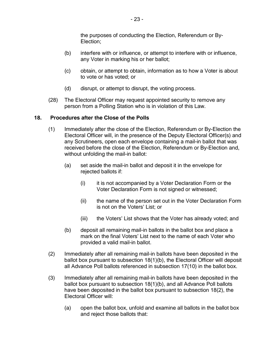the purposes of conducting the Election, Referendum or By-Election;

- (b) interfere with or influence, or attempt to interfere with or influence, any Voter in marking his or her ballot;
- (c) obtain, or attempt to obtain, information as to how a Voter is about to vote or has voted; or
- (d) disrupt, or attempt to disrupt, the voting process.
- (28) The Electoral Officer may request appointed security to remove any person from a Polling Station who is in violation of this Law.

#### <span id="page-22-0"></span>**18. Procedures after the Close of the Polls**

- (1) Immediately after the close of the Election, Referendum or By-Election the Electoral Officer will, in the presence of the Deputy Electoral Officer(s) and any Scrutineers, open each envelope containing a mail-in ballot that was received before the close of the Election, Referendum or By-Election and, without unfolding the mail-in ballot:
	- (a) set aside the mail-in ballot and deposit it in the envelope for rejected ballots if:
		- (i) it is not accompanied by a Voter Declaration Form or the Voter Declaration Form is not signed or witnessed;
		- (ii) the name of the person set out in the Voter Declaration Form is not on the Voters' List; or
		- (iii) the Voters' List shows that the Voter has already voted; and
	- (b) deposit all remaining mail-in ballots in the ballot box and place a mark on the final Voters' List next to the name of each Voter who provided a valid mail-in ballot.
- <span id="page-22-1"></span>(2) Immediately after all remaining mail-in ballots have been deposited in the ballot box pursuant to subsection [18\(1\)](#page-22-0)[\(b\),](#page-22-1) the Electoral Officer will deposit all Advance Poll ballots referenced in subsection [17\(10\)](#page-18-1) in the ballot box.
- (3) Immediately after all remaining mail-in ballots have been deposited in the ballot box pursuant to subsection [18\(1\)](#page-22-0)[\(b\),](#page-22-1) and all Advance Poll ballots have been deposited in the ballot box pursuant to subsection [18\(2\),](#page-22-0) the Electoral Officer will:
	- (a) open the ballot box, unfold and examine all ballots in the ballot box and reject those ballots that: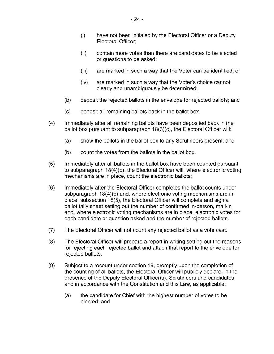- (i) have not been initialed by the Electoral Officer or a Deputy Electoral Officer;
- (ii) contain more votes than there are candidates to be elected or questions to be asked;
- (iii) are marked in such a way that the Voter can be identified; or
- (iv) are marked in such a way that the Voter's choice cannot clearly and unambiguously be determined;
- (b) deposit the rejected ballots in the envelope for rejected ballots; and
- (c) deposit all remaining ballots back in the ballot box.
- <span id="page-23-0"></span>(4) Immediately after all remaining ballots have been deposited back in the ballot box pursuant to subparagraph [18\(3\)](#page-22-0)[\(c\),](#page-23-0) the Electoral Officer will:
	- (a) show the ballots in the ballot box to any Scrutineers present; and
	- (b) count the votes from the ballots in the ballot box.
- <span id="page-23-1"></span>(5) Immediately after all ballots in the ballot box have been counted pursuant to subparagraph [18\(4\)](#page-22-0)[\(b\),](#page-23-1) the Electoral Officer will, where electronic voting mechanisms are in place, count the electronic ballots;
- (6) Immediately after the Electoral Officer completes the ballot counts under subparagraph [18\(4\)](#page-22-0)[\(b\)](#page-23-1) and, where electronic voting mechanisms are in place, subsection [18\(5\),](#page-22-0) the Electoral Officer will complete and sign a ballot tally sheet setting out the number of confirmed in-person, mail-in and, where electronic voting mechanisms are in place, electronic votes for each candidate or question asked and the number of rejected ballots.
- (7) The Electoral Officer will not count any rejected ballot as a vote cast.
- (8) The Electoral Officer will prepare a report in writing setting out the reasons for rejecting each rejected ballot and attach that report to the envelope for rejected ballots.
- (9) Subject to a recount under section [19,](#page-24-0) promptly upon the completion of the counting of all ballots, the Electoral Officer will publicly declare, in the presence of the Deputy Electoral Officer(s), Scrutineers and candidates and in accordance with the Constitution and this Law, as applicable:
	- (a) the candidate for Chief with the highest number of votes to be elected; and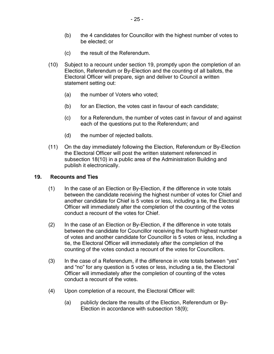- (c) the result of the Referendum.
- (10) Subject to a recount under section [19,](#page-24-0) promptly upon the completion of an Election, Referendum or By-Election and the counting of all ballots, the Electoral Officer will prepare, sign and deliver to Council a written statement setting out:
	- (a) the number of Voters who voted;
	- (b) for an Election, the votes cast in favour of each candidate;
	- (c) for a Referendum, the number of votes cast in favour of and against each of the questions put to the Referendum; and
	- (d) the number of rejected ballots.
- (11) On the day immediately following the Election, Referendum or By-Election the Electoral Officer will post the written statement referenced in subsection [18\(10\)](#page-22-0) in a public area of the Administration Building and publish it electronically.

#### <span id="page-24-0"></span>**19. Recounts and Ties**

- (1) In the case of an Election or By-Election, if the difference in vote totals between the candidate receiving the highest number of votes for Chief and another candidate for Chief is 5 votes or less, including a tie, the Electoral Officer will immediately after the completion of the counting of the votes conduct a recount of the votes for Chief.
- (2) In the case of an Election or By-Election, if the difference in vote totals between the candidate for Councillor receiving the fourth highest number of votes and another candidate for Councillor is 5 votes or less, including a tie, the Electoral Officer will immediately after the completion of the counting of the votes conduct a recount of the votes for Councillors.
- (3) In the case of a Referendum, if the difference in vote totals between "yes" and "no" for any question is 5 votes or less, including a tie, the Electoral Officer will immediately after the completion of counting of the votes conduct a recount of the votes.
- (4) Upon completion of a recount, the Electoral Officer will:
	- (a) publicly declare the results of the Election, Referendum or By-Election in accordance with subsection [18\(9\);](#page-22-0)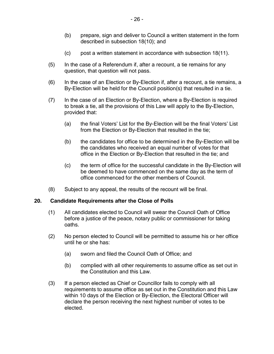- (b) prepare, sign and deliver to Council a written statement in the form described in subsection [18\(10\);](#page-22-0) and
- (c) post a written statement in accordance with subsection [18\(11\).](#page-22-0)
- (5) In the case of a Referendum if, after a recount, a tie remains for any question, that question will not pass.

- 26 -

- (6) In the case of an Election or By-Election if, after a recount, a tie remains, a By-Election will be held for the Council position(s) that resulted in a tie.
- (7) In the case of an Election or By-Election, where a By-Election is required to break a tie, all the provisions of this Law will apply to the By-Election, provided that:
	- (a) the final Voters' List for the By-Election will be the final Voters' List from the Election or By-Election that resulted in the tie;
	- (b) the candidates for office to be determined in the By-Election will be the candidates who received an equal number of votes for that office in the Election or By-Election that resulted in the tie; and
	- (c) the term of office for the successful candidate in the By-Election will be deemed to have commenced on the same day as the term of office commenced for the other members of Council.
- (8) Subject to any appeal, the results of the recount will be final.

#### <span id="page-25-0"></span>**20. Candidate Requirements after the Close of Polls**

- (1) All candidates elected to Council will swear the Council Oath of Office before a justice of the peace, notary public or commissioner for taking oaths.
- (2) No person elected to Council will be permitted to assume his or her office until he or she has:
	- (a) sworn and filed the Council Oath of Office; and
	- (b) complied with all other requirements to assume office as set out in the Constitution and this Law.
- (3) If a person elected as Chief or Councillor fails to comply with all requirements to assume office as set out in the Constitution and this Law within 10 days of the Election or By-Election, the Electoral Officer will declare the person receiving the next highest number of votes to be elected.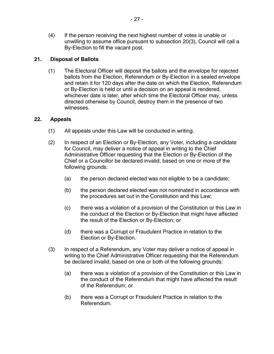(4) If the person receiving the next highest number of votes is unable or unwilling to assume office pursuant to subsection [20\(3\),](#page-25-0) Council will call a By-Election to fill the vacant post.

#### <span id="page-26-0"></span>**21. Disposal of Ballots**

(1) The Electoral Officer will deposit the ballots and the envelope for rejected ballots from the Election, Referendum or By-Election in a sealed envelope and retain it for 120 days after the date on which the Election, Referendum or By-Election is held or until a decision on an appeal is rendered, whichever date is later, after which time the Electoral Officer may, unless directed otherwise by Council, destroy them in the presence of two witnesses.

#### <span id="page-26-1"></span>**22. Appeals**

- (1) All appeals under this Law will be conducted in writing.
- (2) In respect of an Election or By-Election, any Voter, including a candidate for Council, may deliver a notice of appeal in writing to the Chief Administrative Officer requesting that the Election or By-Election of the Chief or a Councillor be declared invalid, based on one or more of the following grounds:
	- (a) the person declared elected was not eligible to be a candidate;
	- (b) the person declared elected was not nominated in accordance with the procedures set out in the Constitution and this Law;
	- (c) there was a violation of a provision of the Constitution or this Law in the conduct of the Election or By-Election that might have affected the result of the Election or By-Election; or
	- (d) there was a Corrupt or Fraudulent Practice in relation to the Election or By-Election.
- (3) In respect of a Referendum, any Voter may deliver a notice of appeal in writing to the Chief Administrative Officer requesting that the Referendum be declared invalid, based on one or both of the following grounds:
	- (a) there was a violation of a provision of the Constitution or this Law in the conduct of the Referendum that might have affected the result of the Referendum; or
	- (b) there was a Corrupt or Fraudulent Practice in relation to the Referendum.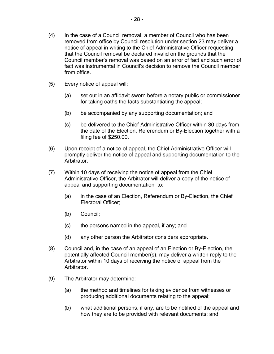- (4) In the case of a Council removal, a member of Council who has been removed from office by Council resolution under section [23](#page-28-0) may deliver a notice of appeal in writing to the Chief Administrative Officer requesting that the Council removal be declared invalid on the grounds that the Council member's removal was based on an error of fact and such error of fact was instrumental in Council's decision to remove the Council member from office.
- (5) Every notice of appeal will:
	- (a) set out in an affidavit sworn before a notary public or commissioner for taking oaths the facts substantiating the appeal;
	- (b) be accompanied by any supporting documentation; and
	- (c) be delivered to the Chief Administrative Officer within 30 days from the date of the Election, Referendum or By-Election together with a filing fee of \$250.00.
- (6) Upon receipt of a notice of appeal, the Chief Administrative Officer will promptly deliver the notice of appeal and supporting documentation to the Arbitrator.
- (7) Within 10 days of receiving the notice of appeal from the Chief Administrative Officer, the Arbitrator will deliver a copy of the notice of appeal and supporting documentation to:
	- (a) in the case of an Election, Referendum or By-Election, the Chief Electoral Officer;
	- (b) Council;
	- (c) the persons named in the appeal, if any; and
	- (d) any other person the Arbitrator considers appropriate.
- (8) Council and, in the case of an appeal of an Election or By-Election, the potentially affected Council member(s), may deliver a written reply to the Arbitrator within 10 days of receiving the notice of appeal from the Arbitrator.
- (9) The Arbitrator may determine:
	- (a) the method and timelines for taking evidence from witnesses or producing additional documents relating to the appeal;
	- (b) what additional persons, if any, are to be notified of the appeal and how they are to be provided with relevant documents; and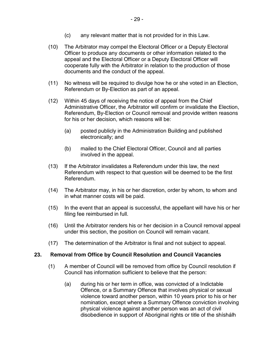- (c) any relevant matter that is not provided for in this Law.
- (10) The Arbitrator may compel the Electoral Officer or a Deputy Electoral Officer to produce any documents or other information related to the appeal and the Electoral Officer or a Deputy Electoral Officer will cooperate fully with the Arbitrator in relation to the production of those documents and the conduct of the appeal.
- (11) No witness will be required to divulge how he or she voted in an Election, Referendum or By-Election as part of an appeal.
- (12) Within 45 days of receiving the notice of appeal from the Chief Administrative Officer, the Arbitrator will confirm or invalidate the Election, Referendum, By-Election or Council removal and provide written reasons for his or her decision, which reasons will be:
	- (a) posted publicly in the Administration Building and published electronically; and
	- (b) mailed to the Chief Electoral Officer, Council and all parties involved in the appeal.
- (13) If the Arbitrator invalidates a Referendum under this law, the next Referendum with respect to that question will be deemed to be the first Referendum.
- (14) The Arbitrator may, in his or her discretion, order by whom, to whom and in what manner costs will be paid.
- (15) In the event that an appeal is successful, the appellant will have his or her filing fee reimbursed in full.
- (16) Until the Arbitrator renders his or her decision in a Council removal appeal under this section, the position on Council will remain vacant.
- (17) The determination of the Arbitrator is final and not subject to appeal.

#### <span id="page-28-0"></span>**23. Removal from Office by Council Resolution and Council Vacancies**

- (1) A member of Council will be removed from office by Council resolution if Council has information sufficient to believe that the person:
	- (a) during his or her term in office, was convicted of a Indictable Offence, or a Summary Offence that involves physical or sexual violence toward another person, within 10 years prior to his or her nomination, except where a Summary Offence conviction involving physical violence against another person was an act of civil disobedience in support of Aboriginal rights or title of the shíshálh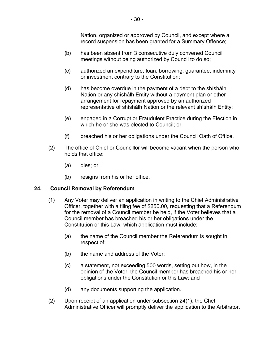Nation, organized or approved by Council, and except where a record suspension has been granted for a Summary Offence;

- (b) has been absent from 3 consecutive duly convened Council meetings without being authorized by Council to do so;
- (c) authorized an expenditure, loan, borrowing, guarantee, indemnity or investment contrary to the Constitution;
- (d) has become overdue in the payment of a debt to the shíshálh Nation or any shíshálh Entity without a payment plan or other arrangement for repayment approved by an authorized representative of shíshálh Nation or the relevant shíshálh Entity;
- (e) engaged in a Corrupt or Fraudulent Practice during the Election in which he or she was elected to Council; or
- (f) breached his or her obligations under the Council Oath of Office.
- (2) The office of Chief or Councillor will become vacant when the person who holds that office:
	- (a) dies; or
	- (b) resigns from his or her office.

#### <span id="page-29-0"></span>**24. Council Removal by Referendum**

- (1) Any Voter may deliver an application in writing to the Chief Administrative Officer, together with a filing fee of \$250.00, requesting that a Referendum for the removal of a Council member be held, if the Voter believes that a Council member has breached his or her obligations under the Constitution or this Law, which application must include:
	- (a) the name of the Council member the Referendum is sought in respect of;
	- (b) the name and address of the Voter;
	- (c) a statement, not exceeding 500 words, setting out how, in the opinion of the Voter, the Council member has breached his or her obligations under the Constitution or this Law; and
	- (d) any documents supporting the application.
- (2) Upon receipt of an application under subsection [24\(1\),](#page-29-0) the Chef Administrative Officer will promptly deliver the application to the Arbitrator.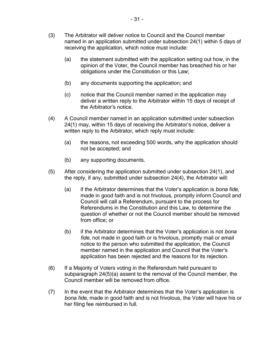- (3) The Arbitrator will deliver notice to Council and the Council member named in an application submitted under subsection [24\(1\)](#page-29-0) within 5 days of receiving the application, which notice must include:
	- (a) the statement submitted with the application setting out how, in the opinion of the Voter, the Council member has breached his or her obligations under the Constitution or this Law;
	- (b) any documents supporting the application; and
	- (c) notice that the Council member named in the application may deliver a written reply to the Arbitrator within 15 days of receipt of the Arbitrator's notice.
- (4) A Council member named in an application submitted under subsection [24\(1\)](#page-29-0) may, within 15 days of receiving the Arbitrator's notice, deliver a written reply to the Arbitrator, which reply must include:
	- (a) the reasons, not exceeding 500 words, why the application should not be accepted; and
	- (b) any supporting documents.
- (5) After considering the application submitted under subsection [24\(1\),](#page-29-0) and the reply, if any, submitted under subsection [24\(4\),](#page-29-0) the Arbitrator will:
	- (a) if the Arbitrator determines that the Voter's application is *bona fide*, made in good faith and is not frivolous, promptly inform Council and Council will call a Referendum, pursuant to the process for Referendums in the Constitution and this Law, to determine the question of whether or not the Council member should be removed from office; or
	- (b) if the Arbitrator determines that the Voter's application is not *bona fide*, not made in good faith or is frivolous, promptly mail or email notice to the person who submitted the application, the Council member named in the application and Council that the Voter's application has been rejected and the reasons for its rejection.
- (6) If a Majority of Voters voting in the Referendum held pursuant to subparagraph [24\(5\)\(a\)](#page-29-0) assent to the removal of the Council member, the Council member will be removed from office.
- (7) In the event that the Arbitrator determines that the Voter's application is *bona fide*, made in good faith and is not frivolous, the Voter will have his or her filing fee reimbursed in full.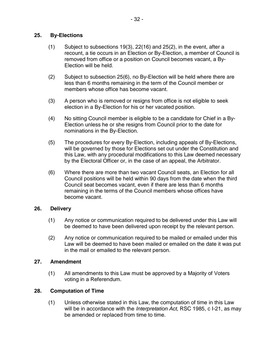#### <span id="page-31-0"></span>**25. By-Elections**

- (1) Subject to subsections [19\(3\),](#page-24-0) [22\(16\)](#page-26-1) and [25\(2\),](#page-31-0) in the event, after a recount, a tie occurs in an Election or By-Election, a member of Council is removed from office or a position on Council becomes vacant, a By-Election will be held.
- (2) Subject to subsection [25\(6\),](#page-31-0) no By-Election will be held where there are less than 6 months remaining in the term of the Council member or members whose office has become vacant.
- (3) A person who is removed or resigns from office is not eligible to seek election in a By-Election for his or her vacated position.
- (4) No sitting Council member is eligible to be a candidate for Chief in a By-Election unless he or she resigns from Council prior to the date for nominations in the By-Election.
- (5) The procedures for every By-Election, including appeals of By-Elections, will be governed by those for Elections set out under the Constitution and this Law, with any procedural modifications to this Law deemed necessary by the Electoral Officer or, in the case of an appeal, the Arbitrator.
- (6) Where there are more than two vacant Council seats, an Election for all Council positions will be held within 90 days from the date when the third Council seat becomes vacant, even if there are less than 6 months remaining in the terms of the Council members whose offices have become vacant.

#### <span id="page-31-1"></span>**26. Delivery**

- (1) Any notice or communication required to be delivered under this Law will be deemed to have been delivered upon receipt by the relevant person.
- (2) Any notice or communication required to be mailed or emailed under this Law will be deemed to have been mailed or emailed on the date it was put in the mail or emailed to the relevant person.

#### <span id="page-31-2"></span>**27. Amendment**

(1) All amendments to this Law must be approved by a Majority of Voters voting in a Referendum.

#### <span id="page-31-3"></span>**28. Computation of Time**

(1) Unless otherwise stated in this Law, the computation of time in this Law will be in accordance with the *Interpretation Act*, RSC 1985, c I-21, as may be amended or replaced from time to time.